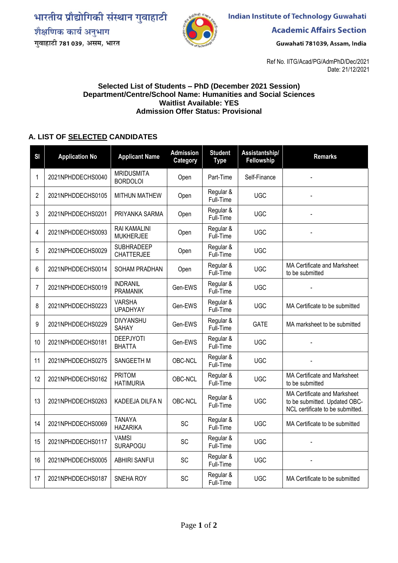भारतीय प्रौद्योगिकी संस्थान गुवाहाटी शैक्षणिक कार्य अनुभाग





**Indian Institute of Technology Guwahati** 

**Academic Affairs Section** 

Guwahati 781039, Assam, India

Ref No. IITG/Acad/PG/AdmPhD/Dec/2021 Date: 21/12/2021

## **Selected List of Students – PhD (December 2021 Session) Department/Centre/School Name: Humanities and Social Sciences Waitlist Available: YES Admission Offer Status: Provisional**

## **A. LIST OF SELECTED CANDIDATES**

| SI | <b>Application No</b> | <b>Applicant Name</b>                  | <b>Admission</b><br>Category | <b>Student</b><br><b>Type</b> | Assistantship/<br>Fellowship | <b>Remarks</b>                                                                                    |
|----|-----------------------|----------------------------------------|------------------------------|-------------------------------|------------------------------|---------------------------------------------------------------------------------------------------|
| 1  | 2021NPHDDECHS0040     | <b>MRIDUSMITA</b><br><b>BORDOLOI</b>   | Open                         | Part-Time                     | Self-Finance                 |                                                                                                   |
| 2  | 2021NPHDDECHS0105     | <b>MITHUN MATHEW</b>                   | Open                         | Regular &<br>Full-Time        | <b>UGC</b>                   |                                                                                                   |
| 3  | 2021NPHDDECHS0201     | PRIYANKA SARMA                         | Open                         | Regular &<br>Full-Time        | <b>UGC</b>                   |                                                                                                   |
| 4  | 2021NPHDDECHS0093     | RAI KAMALINI<br><b>MUKHERJEE</b>       | Open                         | Regular &<br>Full-Time        | <b>UGC</b>                   |                                                                                                   |
| 5  | 2021NPHDDECHS0029     | <b>SUBHRADEEP</b><br><b>CHATTERJEE</b> | Open                         | Regular &<br>Full-Time        | <b>UGC</b>                   |                                                                                                   |
| 6  | 2021NPHDDECHS0014     | SOHAM PRADHAN                          | Open                         | Regular &<br>Full-Time        | <b>UGC</b>                   | MA Certificate and Marksheet<br>to be submitted                                                   |
| 7  | 2021NPHDDECHS0019     | <b>INDRANIL</b><br><b>PRAMANIK</b>     | Gen-EWS                      | Regular &<br>Full-Time        | <b>UGC</b>                   |                                                                                                   |
| 8  | 2021NPHDDECHS0223     | <b>VARSHA</b><br><b>UPADHYAY</b>       | Gen-EWS                      | Regular &<br>Full-Time        | <b>UGC</b>                   | MA Certificate to be submitted                                                                    |
| 9  | 2021NPHDDECHS0229     | <b>DIVYANSHU</b><br><b>SAHAY</b>       | Gen-EWS                      | Regular &<br>Full-Time        | <b>GATE</b>                  | MA marksheet to be submitted                                                                      |
| 10 | 2021NPHDDECHS0181     | <b>DEEPJYOTI</b><br><b>BHATTA</b>      | Gen-EWS                      | Regular &<br>Full-Time        | <b>UGC</b>                   |                                                                                                   |
| 11 | 2021NPHDDECHS0275     | SANGEETH M                             | OBC-NCL                      | Regular &<br>Full-Time        | <b>UGC</b>                   |                                                                                                   |
| 12 | 2021NPHDDECHS0162     | PRITOM<br><b>HATIMURIA</b>             | OBC-NCL                      | Regular &<br>Full-Time        | <b>UGC</b>                   | MA Certificate and Marksheet<br>to be submitted                                                   |
| 13 | 2021NPHDDECHS0263     | KADEEJA DILFA N                        | OBC-NCL                      | Regular &<br>Full-Time        | <b>UGC</b>                   | MA Certificate and Marksheet<br>to be submitted. Updated OBC-<br>NCL certificate to be submitted. |
| 14 | 2021NPHDDECHS0069     | <b>TANAYA</b><br><b>HAZARIKA</b>       | <b>SC</b>                    | Regular &<br>Full-Time        | <b>UGC</b>                   | MA Certificate to be submitted                                                                    |
| 15 | 2021NPHDDECHS0117     | <b>VAMSI</b><br><b>SURAPOGU</b>        | SC                           | Regular &<br>Full-Time        | <b>UGC</b>                   |                                                                                                   |
| 16 | 2021NPHDDECHS0005     | <b>ABHIRI SANFUI</b>                   | SC                           | Regular &<br>Full-Time        | <b>UGC</b>                   |                                                                                                   |
| 17 | 2021NPHDDECHS0187     | SNEHA ROY                              | SC                           | Regular &<br>Full-Time        | <b>UGC</b>                   | MA Certificate to be submitted                                                                    |